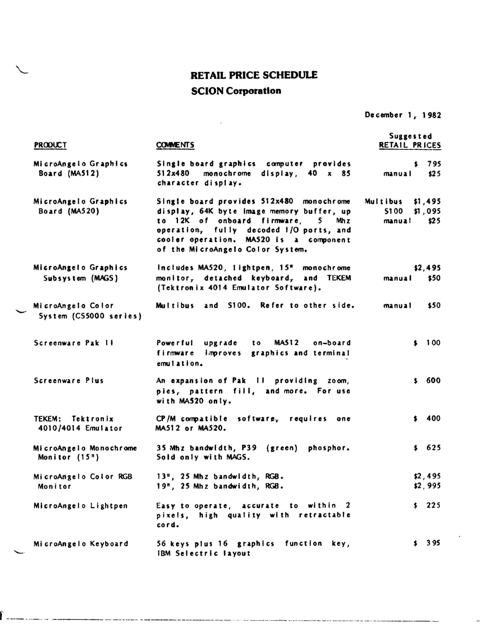## **RETAIL PRICE SCHEDULE SCION Corporation**

 $\mathbf{z}_1$  ,  $\mathbf{z}_2$  ,  $\mathbf{z}_3$ 

December 1, 1982

| <b>PRODUCT</b>                              | <b>COMMENTS</b>                                                                                                                                                                                                                                     | Suggested<br>RETAIL PRICES                                   |
|---------------------------------------------|-----------------------------------------------------------------------------------------------------------------------------------------------------------------------------------------------------------------------------------------------------|--------------------------------------------------------------|
| MicroAngelo Graphics<br>Board (MA512)       | Single board graphics computer provides<br>512x480<br>monochrome<br>display, $40 \times 85$<br>character display.                                                                                                                                   | 795<br>\$<br>manual<br>\$25                                  |
| MicroAngelo Graphics<br>Board (MA520)       | Single board provides 512x480 monochrome<br>display, 64K byte image memory buffer, up<br>to 12K of onboard firmware, 5 Mhz<br>operation, fully decoded I/O ports, and<br>cooler operation. MA520 is a component<br>of the MicroAngelo Color System. | Multibus \$1,495<br>\$1,095<br><b>S100</b><br>\$25<br>manual |
| MicroAngelo Graphics<br>Subsystem (MAGS)    | Includes MA520, lightpen, 15" monochrome<br>monitor, detached keyboard, and TEKEM<br>(Tektronix 4014 Emulator Software).                                                                                                                            | \$2,495<br>\$50<br>manual                                    |
| MicroAngelo Color<br>System (CS5000 series) | Multibus and S100. Refer to other side.                                                                                                                                                                                                             | \$50<br>manual                                               |
| Screenware Pak II                           | Powerful upgrade to MA512 on-board<br>firmware improves graphics and terminal<br>emulation.                                                                                                                                                         | \$100                                                        |
| Screenware Plus                             | An expansion of Pak II providing zoom,<br>pies, pattern fill, and more. For use<br>with MA520 only.                                                                                                                                                 | \$600                                                        |
| TEKEM: Tektronix<br>4010/4014 Emulator      | CP/M compatible software, requires one<br>MA512 or MA520.                                                                                                                                                                                           | \$ 400                                                       |
| MicroAngelo Monochrome<br>Monitor $(15n)$   | 35 Mhz bandwidth, P39 (green) phosphor.<br>Sold only with MAGS.                                                                                                                                                                                     | \$625                                                        |
| MicroAngelo Color RGB<br>Monitor            | 13", 25 Mhz bandwidth, RGB.<br>19", 25 Mhz bandwidth, RGB.                                                                                                                                                                                          | \$2,495<br>\$2,995                                           |
| MicroAngelo Lightpen                        | Easy to operate, accurate to within 2<br>pixels, high quality with retractable<br>cord.                                                                                                                                                             | \$225                                                        |
| MicroAngelo Keyboard                        | 56 keys plus 16 graphics function key,<br>IBM Selectric layout                                                                                                                                                                                      | \$395                                                        |

------------------

----------